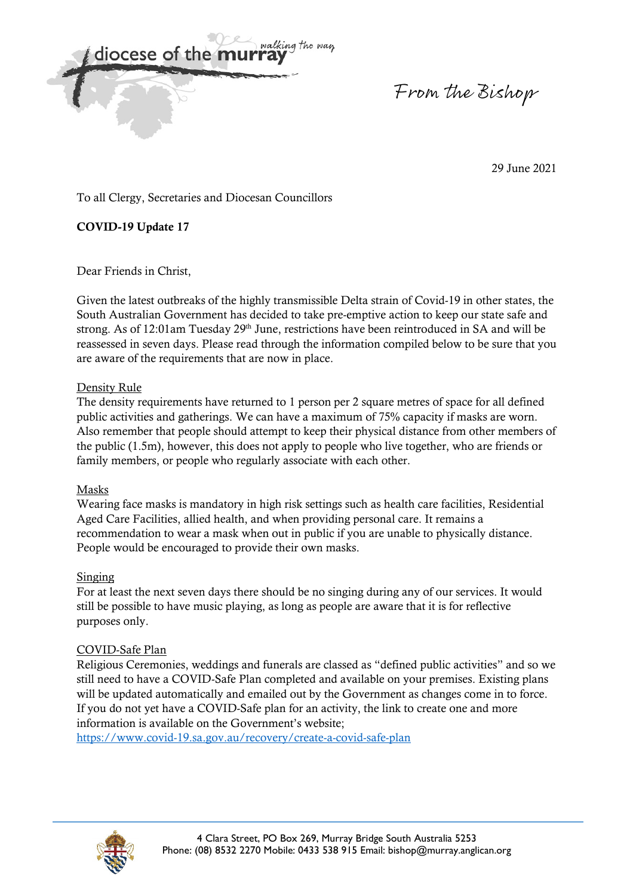

From the Bishop

29 June 2021

To all Clergy, Secretaries and Diocesan Councillors

# **COVID-19 Update 17**

Dear Friends in Christ,

Given the latest outbreaks of the highly transmissible Delta strain of Covid-19 in other states, the South Australian Government has decided to take pre-emptive action to keep our state safe and strong. As of 12:01am Tuesday 29<sup>th</sup> June, restrictions have been reintroduced in SA and will be reassessed in seven days. Please read through the information compiled below to be sure that you are aware of the requirements that are now in place.

## Density Rule

The density requirements have returned to 1 person per 2 square metres of space for all defined public activities and gatherings. We can have a maximum of 75% capacity if masks are worn. Also remember that people should attempt to keep their physical distance from other members of the public (1.5m), however, this does not apply to people who live together, who are friends or family members, or people who regularly associate with each other.

### Masks

Wearing face masks is mandatory in high risk settings such as health care facilities, Residential Aged Care Facilities, allied health, and when providing personal care. It remains a recommendation to wear a mask when out in public if you are unable to physically distance. People would be encouraged to provide their own masks.

## Singing

For at least the next seven days there should be no singing during any of our services. It would still be possible to have music playing, as long as people are aware that it is for reflective purposes only.

## COVID-Safe Plan

Religious Ceremonies, weddings and funerals are classed as "defined public activities" and so we still need to have a COVID-Safe Plan completed and available on your premises. Existing plans will be updated automatically and emailed out by the Government as changes come in to force. If you do not yet have a COVID-Safe plan for an activity, the link to create one and more information is available on the Government's website;

https://www.covid-19.sa.gov.au/recovery/create-a-covid-safe-plan

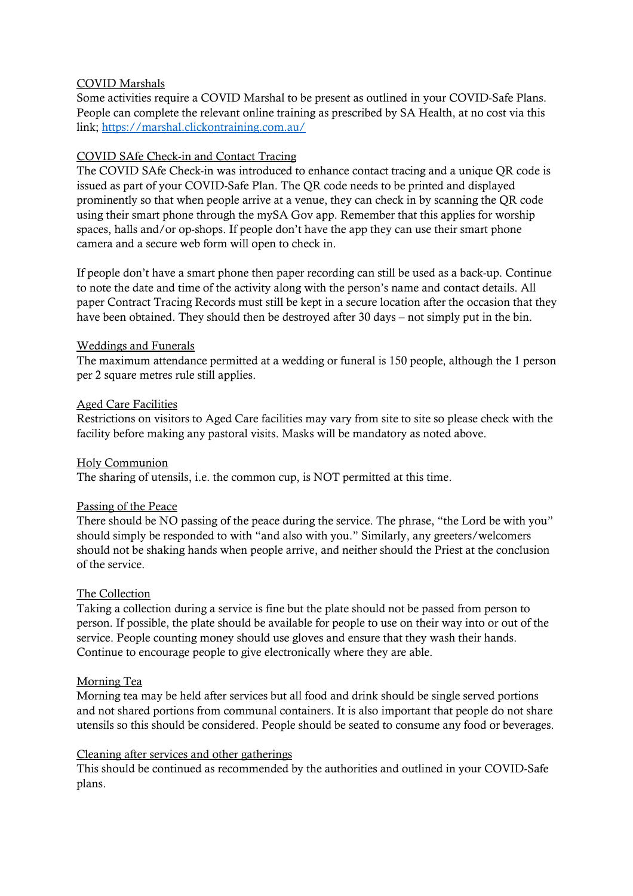### COVID Marshals

Some activities require a COVID Marshal to be present as outlined in your COVID-Safe Plans. People can complete the relevant online training as prescribed by SA Health, at no cost via this link; https://marshal.clickontraining.com.au/

### COVID SAfe Check-in and Contact Tracing

The COVID SAfe Check-in was introduced to enhance contact tracing and a unique QR code is issued as part of your COVID-Safe Plan. The QR code needs to be printed and displayed prominently so that when people arrive at a venue, they can check in by scanning the QR code using their smart phone through the mySA Gov app. Remember that this applies for worship spaces, halls and/or op-shops. If people don't have the app they can use their smart phone camera and a secure web form will open to check in.

If people don't have a smart phone then paper recording can still be used as a back-up. Continue to note the date and time of the activity along with the person's name and contact details. All paper Contract Tracing Records must still be kept in a secure location after the occasion that they have been obtained. They should then be destroyed after 30 days – not simply put in the bin.

### Weddings and Funerals

The maximum attendance permitted at a wedding or funeral is 150 people, although the 1 person per 2 square metres rule still applies.

#### Aged Care Facilities

Restrictions on visitors to Aged Care facilities may vary from site to site so please check with the facility before making any pastoral visits. Masks will be mandatory as noted above.

### Holy Communion

The sharing of utensils, i.e. the common cup, is NOT permitted at this time.

### Passing of the Peace

There should be NO passing of the peace during the service. The phrase, "the Lord be with you" should simply be responded to with "and also with you." Similarly, any greeters/welcomers should not be shaking hands when people arrive, and neither should the Priest at the conclusion of the service.

### The Collection

Taking a collection during a service is fine but the plate should not be passed from person to person. If possible, the plate should be available for people to use on their way into or out of the service. People counting money should use gloves and ensure that they wash their hands. Continue to encourage people to give electronically where they are able.

#### Morning Tea

Morning tea may be held after services but all food and drink should be single served portions and not shared portions from communal containers. It is also important that people do not share utensils so this should be considered. People should be seated to consume any food or beverages.

#### Cleaning after services and other gatherings

This should be continued as recommended by the authorities and outlined in your COVID-Safe plans.